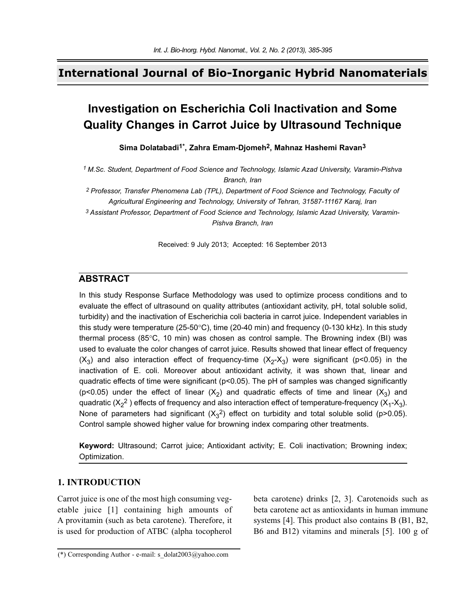# **International Journal of Bio-Inorganic Hybrid Nanomaterials**

# **Investigation on Escherichia Coli Inactivation and Some Quality Changes in Carrot Juice by Ultrasound Technique**

**Sima Dolatabadi1\*, Zahra Emam-Djomeh2, Mahnaz Hashemi Ravan3**

*1 M.Sc. Student, Department of Food Science and Technology, Islamic Azad University, Varamin-Pishva Branch, Iran* 

*2 Professor, Transfer Phenomena Lab (TPL), Department of Food Science and Technology, Faculty of Agricultural Engineering and Technology, University of Tehran, 31587-11167 Karaj, Iran*

*3 Assistant Professor, Department of Food Science and Technology, Islamic Azad University, Varamin-Pishva Branch, Iran*

Received: 9 July 2013; Accepted: 16 September 2013

## **ABSTRACT**

In this study Response Surface Methodology was used to optimize process conditions and to evaluate the effect of ultrasound on quality attributes (antioxidant activity, pH, total soluble solid, turbidity) and the inactivation of Escherichia coli bacteria in carrot juice. Independent variables in this study were temperature (25-50°C), time (20-40 min) and frequency (0-130 kHz). In this study thermal process (85°C, 10 min) was chosen as control sample. The Browning index (BI) was used to evaluate the color changes of carrot juice. Results showed that linear effect of frequency  $(X_3)$  and also interaction effect of frequency-time  $(X_2-X_3)$  were significant (p<0.05) in the inactivation of E. coli. Moreover about antioxidant activity, it was shown that, linear and quadratic effects of time were significant ( $p<0.05$ ). The pH of samples was changed significantly (p<0.05) under the effect of linear  $(X_2)$  and quadratic effects of time and linear  $(X_3)$  and quadratic (X<sub>2</sub><sup>2</sup> ) effects of frequency and also interaction effect of temperature-frequency (X<sub>1</sub>-X<sub>3</sub>). None of parameters had significant  $(X_3^2)$  effect on turbidity and total soluble solid (p>0.05). Control sample showed higher value for browning index comparing other treatments.

**Keyword:** Ultrasound; Carrot juice; Antioxidant activity; E. Coli inactivation; Browning index; Optimization.

### **1. INTRODUCTION**

Carrot juice is one of the most high consuming vegetable juice [1] containing high amounts of A provitamin (such as beta carotene). Therefore, it is used for production of ATBC (alpha tocopherol

beta carotene) drinks [2, 3]. Carotenoids such as beta carotene act as antioxidants in human immune systems [4]. This product also contains B (B1, B2, B6 and B12) vitamins and minerals [5]. 100 g of

<sup>(\*)</sup> Corresponding Author - e-mail: s\_dolat2003@yahoo.com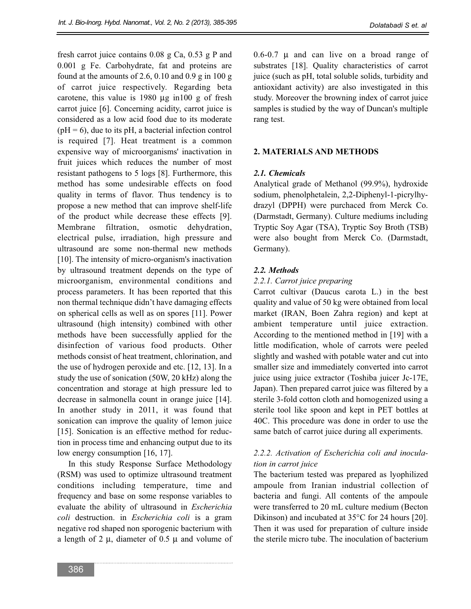fresh carrot juice contains 0.08 g Ca, 0.53 g P and 0.001 g Fe. Carbohydrate, fat and proteins are found at the amounts of 2.6, 0.10 and 0.9 g in 100 g of carrot juice respectively. Regarding beta carotene, this value is 1980 μg in100 g of fresh carrot juice [6]. Concerning acidity, carrot juice is considered as a low acid food due to its moderate  $(pH = 6)$ , due to its pH, a bacterial infection control is required [7]. Heat treatment is a common expensive way of microorganisms' inactivation in fruit juices which reduces the number of most resistant pathogens to 5 logs [8]. Furthermore, this method has some undesirable effects on food quality in terms of flavor. Thus tendency is to propose a new method that can improve shelf-life of the product while decrease these effects [9]. Membrane filtration, osmotic dehydration, electrical pulse, irradiation, high pressure and ultrasound are some non-thermal new methods [10]. The intensity of micro-organism's inactivation by ultrasound treatment depends on the type of microorganism, environmental conditions and process parameters. It has been reported that this non thermal technique didn't have damaging effects on spherical cells as well as on spores [11]. Power ultrasound (high intensity) combined with other methods have been successfully applied for the disinfection of various food products. Other methods consist of heat treatment, chlorination, and the use of hydrogen peroxide and etc. [12, 13]. In a study the use of sonication (50W, 20 kHz) along the concentration and storage at high pressure led to decrease in salmonella count in orange juice [14]. In another study in 2011, it was found that sonication can improve the quality of lemon juice [15]. Sonication is an effective method for reduction in process time and enhancing output due to its low energy consumption [16, 17].

In this study Response Surface Methodology (RSM) was used to optimize ultrasound treatment conditions including temperature, time and frequency and base on some response variables to evaluate the ability of ultrasound in *Escherichia coli* destruction. in *Escherichia coli* is a gram negative rod shaped non sporogenic bacterium with a length of 2  $\mu$ , diameter of 0.5  $\mu$  and volume of 0.6-0.7 μ and can live on a broad range of substrates [18]. Quality characteristics of carrot juice (such as pH, total soluble solids, turbidity and antioxidant activity) are also investigated in this study. Moreover the browning index of carrot juice samples is studied by the way of Duncan's multiple rang test.

### **2. MATERIALS AND METHODS**

#### *2.1. Chemicals*

Analytical grade of Methanol (99.9%), hydroxide sodium, phenolphetalein, 2,2-Diphenyl-1-picrylhydrazyl (DPPH) were purchaced from Merck Co. (Darmstadt, Germany). Culture mediums including Tryptic Soy Agar (TSA), Tryptic Soy Broth (TSB) were also bought from Merck Co. (Darmstadt, Germany).

#### *2.2. Methods*

#### *2.2.1. Carrot juice preparing*

Carrot cultivar (Daucus carota L.) in the best quality and value of 50 kg were obtained from local market (IRAN, Boen Zahra region) and kept at ambient temperature until juice extraction. According to the mentioned method in [19] with a little modification, whole of carrots were peeled slightly and washed with potable water and cut into smaller size and immediately converted into carrot juice using juice extractor (Toshiba juicer Jc-17E, Japan). Then prepared carrot juice was filtered by a sterile 3-fold cotton cloth and homogenized using a sterile tool like spoon and kept in PET bottles at 40C. This procedure was done in order to use the same batch of carrot juice during all experiments.

### *2.2.2. Activation of Escherichia coli and inoculation in carrot juice*

The bacterium tested was prepared as lyophilized ampoule from Iranian industrial collection of bacteria and fungi. All contents of the ampoule were transferred to 20 mL culture medium (Becton Dikinson) and incubated at 35°C for 24 hours [20]. Then it was used for preparation of culture inside the sterile micro tube. The inoculation of bacterium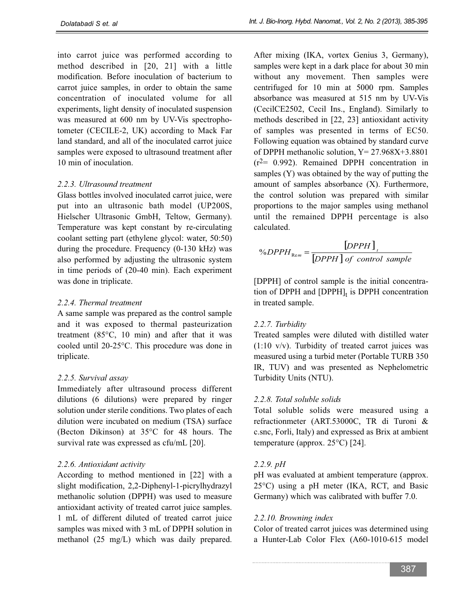into carrot juice was performed according to method described in [20, 21] with a little modification. Before inoculation of bacterium to carrot juice samples, in order to obtain the same concentration of inoculated volume for all experiments, light density of inoculated suspension was measured at 600 nm by UV-Vis spectrophotometer (CECILE-2, UK) according to Mack Far land standard, and all of the inoculated carrot juice samples were exposed to ultrasound treatment after 10 min of inoculation.

### *2.2.3. Ultrasound treatment*

Glass bottles involved inoculated carrot juice, were put into an ultrasonic bath model (UP200S, Hielscher Ultrasonic GmbH, Teltow, Germany). Temperature was kept constant by re-circulating coolant setting part (ethylene glycol: water, 50:50) during the procedure. Frequency (0-130 kHz) was also performed by adjusting the ultrasonic system in time periods of (20-40 min). Each experiment was done in triplicate.

# *2.2.4. Thermal treatment*

A same sample was prepared as the control sample and it was exposed to thermal pasteurization treatment (85°C, 10 min) and after that it was cooled until 20-25°C. This procedure was done in triplicate.

# *2.2.5. Survival assay*

Immediately after ultrasound process different dilutions (6 dilutions) were prepared by ringer solution under sterile conditions. Two plates of each dilution were incubated on medium (TSA) surface (Becton Dikinson) at 35°C for 48 hours. The survival rate was expressed as cfu/mL [20].

### *2.2.6. Antioxidant activity*

According to method mentioned in [22] with a slight modification, 2,2-Diphenyl-1-picrylhydrazyl methanolic solution (DPPH) was used to measure antioxidant activity of treated carrot juice samples. 1 mL of different diluted of treated carrot juice samples was mixed with 3 mL of DPPH solution in methanol (25 mg/L) which was daily prepared.

After mixing (IKA, vortex Genius 3, Germany), samples were kept in a dark place for about 30 min without any movement. Then samples were centrifuged for 10 min at 5000 rpm. Samples absorbance was measured at 515 nm by UV-Vis (CecilCE2502, Cecil Ins., England). Similarly to methods described in [22, 23] antioxidant activity of samples was presented in terms of EC50. Following equation was obtained by standard curve of DPPH methanolic solution,  $Y = 27.968X + 3.8801$  $(r^2= 0.992)$ . Remained DPPH concentration in samples (Y) was obtained by the way of putting the amount of samples absorbance (X). Furthermore, the control solution was prepared with similar proportions to the major samples using methanol until the remained DPPH percentage is also calculated.

$$
\%DPPH_{\text{Rem}} = \frac{[DPPH]}{[DPPH]} \text{ of control sample}
$$

[DPPH] of control sample is the initial concentration of DPPH and  $[DPPH]_t$  is DPPH concentration in treated sample.

# *2.2.7. Turbidity*

Treated samples were diluted with distilled water (1:10 v/v). Turbidity of treated carrot juices was measured using a turbid meter (Portable TURB 350 IR, TUV) and was presented as Nephelometric Turbidity Units (NTU).

# *2.2.8. Total soluble solids*

Total soluble solids were measured using a refractionmeter (ART.53000C, TR di Turoni & c.snc, Forli, Italy) and expressed as Brix at ambient temperature (approx. 25°C) [24].

# *2.2.9. pH*

pH was evaluated at ambient temperature (approx. 25°C) using a pH meter (IKA, RCT, and Basic Germany) which was calibrated with buffer 7.0.

# *2.2.10. Browning index*

Color of treated carrot juices was determined using a Hunter-Lab Color Flex (A60-1010-615 model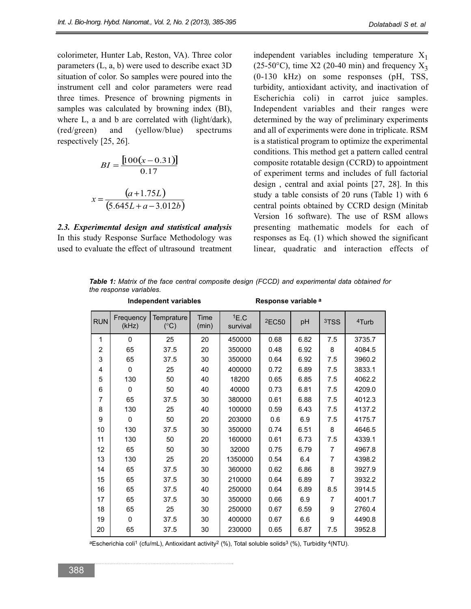colorimeter, Hunter Lab, Reston, VA). Three color parameters (L, a, b) were used to describe exact 3D situation of color. So samples were poured into the instrument cell and color parameters were read three times. Presence of browning pigments in samples was calculated by browning index (BI), where L, a and b are correlated with (light/dark), (red/green) and (yellow/blue) spectrums respectively [25, 26].

$$
BI = \frac{[100(x - 0.31)]}{0.17}
$$

$$
x = \frac{(a + 1.75L)}{(5.645L + a - 3.012b)}
$$

*2.3. Experimental design and statistical analysis* In this study Response Surface Methodology was used to evaluate the effect of ultrasound treatment

independent variables including temperature  $X_1$ (25-50°C), time X2 (20-40 min) and frequency  $X_3$ (0-130 kHz) on some responses (pH, TSS, turbidity, antioxidant activity, and inactivation of Escherichia coli) in carrot juice samples. Independent variables and their ranges were determined by the way of preliminary experiments and all of experiments were done in triplicate. RSM is a statistical program to optimize the experimental conditions. This method get a pattern called central composite rotatable design (CCRD) to appointment of experiment terms and includes of full factorial design , central and axial points [27, 28]. In this study a table consists of 20 runs (Table 1) with 6 central points obtained by CCRD design (Minitab Version 16 software). The use of RSM allows presenting mathematic models for each of responses as Eq. (1) which showed the significant linear, quadratic and interaction effects of

*Table 1: Matrix of the face central composite design (FCCD) and experimental data obtained for the response variables.*

|            |                    | <b>Independent variables</b> | Response variable a |                  |                               |      |                  |                   |  |
|------------|--------------------|------------------------------|---------------------|------------------|-------------------------------|------|------------------|-------------------|--|
| <b>RUN</b> | Frequency<br>(kHz) | Temprature<br>$(^{\circ}C)$  | Time<br>(min)       | 1E.C<br>survival | <sup>2</sup> EC <sub>50</sub> | pH   | <sup>3</sup> TSS | <sup>4</sup> Turb |  |
| 1          | 0                  | 25                           | 20                  | 450000           | 0.68                          | 6.82 | 7.5              | 3735.7            |  |
| 2          | 65                 | 37.5                         | 20                  | 350000           | 0.48                          | 6.92 | 8                | 4084.5            |  |
| 3          | 65                 | 37.5                         | 30                  | 350000           | 0.64                          | 6.92 | 7.5              | 3960.2            |  |
| 4          | $\Omega$           | 25                           | 40                  | 400000           | 0.72                          | 6.89 | 7.5              | 3833.1            |  |
| 5          | 130                | 50                           | 40                  | 18200            | 0.65                          | 6.85 | 7.5              | 4062.2            |  |
| 6          | $\mathbf{0}$       | 50                           | 40                  | 40000            | 0.73                          | 6.81 | 7.5              | 4209.0            |  |
| 7          | 65                 | 37.5                         | 30                  | 380000           | 0.61                          | 6.88 | 7.5              | 4012.3            |  |
| 8          | 130                | 25                           | 40                  | 100000           | 0.59                          | 6.43 | 7.5              | 4137.2            |  |
| 9          | 0                  | 50                           | 20                  | 203000           | 0.6                           | 6.9  | 7.5              | 4175.7            |  |
| 10         | 130                | 37.5                         | 30                  | 350000           | 0.74                          | 6.51 | 8                | 4646.5            |  |
| 11         | 130                | 50                           | 20                  | 160000           | 0.61                          | 6.73 | 7.5              | 4339.1            |  |
| 12         | 65                 | 50                           | 30                  | 32000            | 0.75                          | 6.79 | $\overline{7}$   | 4967.8            |  |
| 13         | 130                | 25                           | 20                  | 1350000          | 0.54                          | 6.4  | 7                | 4398.2            |  |
| 14         | 65                 | 37.5                         | 30                  | 360000           | 0.62                          | 6.86 | 8                | 3927.9            |  |
| 15         | 65                 | 37.5                         | 30                  | 210000           | 0.64                          | 6.89 | 7                | 3932.2            |  |
| 16         | 65                 | 37.5                         | 40                  | 250000           | 0.64                          | 6.89 | 8.5              | 3914.5            |  |
| 17         | 65                 | 37.5                         | 30                  | 350000           | 0.66                          | 6.9  | $\overline{7}$   | 4001.7            |  |
| 18         | 65                 | 25                           | 30                  | 250000           | 0.67                          | 6.59 | 9                | 2760.4            |  |
| 19         | 0                  | 37.5                         | 30                  | 400000           | 0.67                          | 6.6  | 9                | 4490.8            |  |
| 20         | 65                 | 37.5                         | 30                  | 230000           | 0.65                          | 6.87 | 7.5              | 3952.8            |  |

aEscherichia coli<sup>1</sup> (cfu/mL), Antioxidant activity<sup>2</sup> (%), Total soluble solids<sup>3</sup> (%), Turbidity <sup>4</sup>(NTU).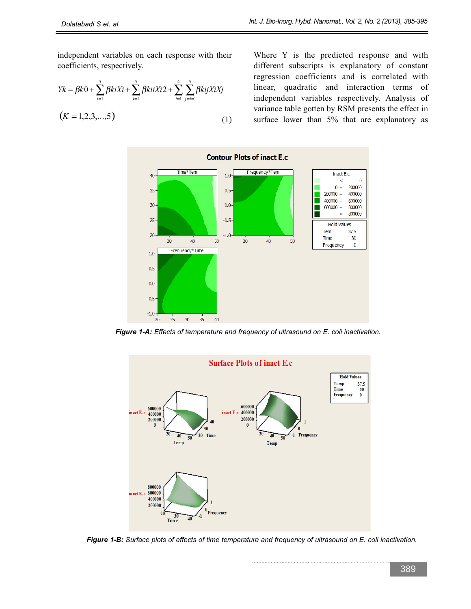independent variables on each response with their coefficients, respectively.

$$
Yk = \beta k0 + \sum_{i=1}^{5} \beta k iXi + \sum_{i=1}^{5} \beta k iXi2 + \sum_{i=1}^{4} \sum_{j=i=1}^{5} \beta k i jXiXj
$$
  
(*K* = 1,2,3,...,5) (1)

Where Y is the predicted response and with different subscripts is explanatory of constant regression coefficients and is correlated with linear, quadratic and interaction terms of independent variables respectively. Analysis of variance table gotten by RSM presents the effect in surface lower than 5% that are explanatory as



*Figure 1-A: Effects of temperature and frequency of ultrasound on E. coli inactivation.*



*Figure 1-B: Surface plots of effects of time temperature and frequency of ultrasound on E. coli inactivation.*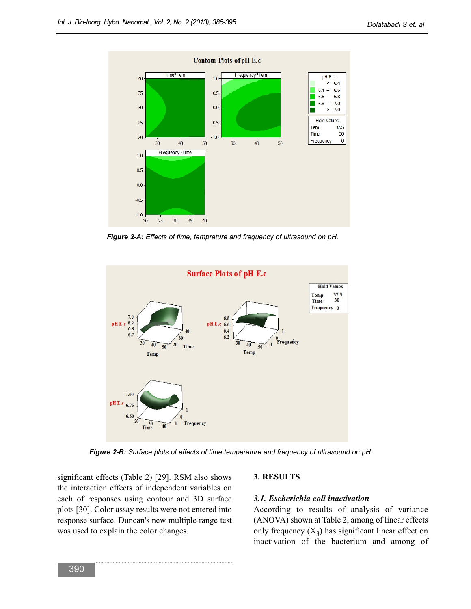

*Figure 2-A: Effects of time, temprature and frequency of ultrasound on pH.*



*Figure 2-B: Surface plots of effects of time temperature and frequency of ultrasound on pH.*

significant effects (Table 2) [29]. RSM also shows the interaction effects of independent variables on each of responses using contour and 3D surface plots [30]. Color assay results were not entered into response surface. Duncan's new multiple range test was used to explain the color changes.

#### **3. RESULTS**

#### *3.1. Escherichia coli inactivation*

According to results of analysis of variance (ANOVA) shown at Table 2, among of linear effects only frequency  $(X_3)$  has significant linear effect on inactivation of the bacterium and among of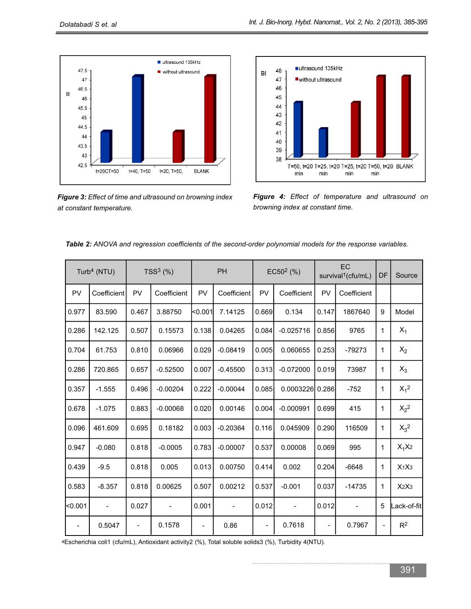

*Figure 3: Effect of time and ultrasound on browning index at constant temperature.*



*Figure 4: Effect of temperature and ultrasound on browning index at constant time.*

| Turb <sup>4</sup> (NTU)  |             | $TSS3$ (%)                   |                              | <b>PH</b>                |                          | $EC502$ (%)              |             | EC<br>survival <sup>1</sup> (cfu/mL) |             | DF             | Source                        |
|--------------------------|-------------|------------------------------|------------------------------|--------------------------|--------------------------|--------------------------|-------------|--------------------------------------|-------------|----------------|-------------------------------|
| PV                       | Coefficient | PV                           | Coefficient                  | PV                       | Coefficient              | PV                       | Coefficient | PV                                   | Coefficient |                |                               |
| 0.977                    | 83.590      | 0.467                        | 3.88750                      | 0.001                    | 7.14125                  | 0.669                    | 0.134       | 0.147                                | 1867640     | 9              | Model                         |
| 0.286                    | 142.125     | 0.507                        | 0.15573                      | 0.138                    | 0.04265                  | 0.084                    | $-0.025716$ | 0.856                                | 9765        | 1              | $X_1$                         |
| 0.704                    | 61.753      | 0.810                        | 0.06966                      | 0.029                    | $-0.08419$               | 0.005                    | 0.060655    | 0.253                                | -79273      | 1              | $X_2$                         |
| 0.286                    | 720.865     | 0.657                        | $-0.52500$                   | 0.007                    | $-0.45500$               | 0.313                    | $-0.072000$ | 0.019                                | 73987       | 1              | $X_3$                         |
| 0.357                    | $-1.555$    | 0.496                        | $-0.00204$                   | 0.222                    | $-0.00044$               | 0.085                    | 0.0003226   | 0.286                                | $-752$      | 1              | $X_1^2$                       |
| 0.678                    | $-1.075$    | 0.883                        | $-0.00068$                   | 0.020                    | 0.00146                  | 0.004                    | $-0.000991$ | 0.699                                | 415         | 1              | $X_2^2$                       |
| 0.096                    | 461.609     | 0.695                        | 0.18182                      | 0.003                    | $-0.20364$               | 0.116                    | 0.045909    | 0.290                                | 116509      | 1              | $X_3^2$                       |
| 0.947                    | $-0.080$    | 0.818                        | $-0.0005$                    | 0.783                    | $-0.00007$               | 0.537                    | 0.00008     | 0.069                                | 995         | 1              | $X_1X_2$                      |
| 0.439                    | $-9.5$      | 0.818                        | 0.005                        | 0.013                    | 0.00750                  | 0.414                    | 0.002       | 0.204                                | $-6648$     | $\mathbf{1}$   | X <sub>1</sub> X <sub>3</sub> |
| 0.583                    | $-8.357$    | 0.818                        | 0.00625                      | 0.507                    | 0.00212                  | 0.537                    | $-0.001$    | 0.037                                | $-14735$    | 1              | X <sub>2</sub> X <sub>3</sub> |
| $0.001$                  |             | 0.027                        | $\qquad \qquad \blacksquare$ | 0.001                    | $\overline{\phantom{a}}$ | 0.012                    |             | 0.012                                |             | 5              | Lack-of-fit                   |
| $\overline{\phantom{a}}$ | 0.5047      | $\qquad \qquad \blacksquare$ | 0.1578                       | $\overline{\phantom{0}}$ | 0.86                     | $\overline{\phantom{a}}$ | 0.7618      | $\qquad \qquad \blacksquare$         | 0.7967      | $\overline{a}$ | $R^2$                         |

*Table 2: ANOVA and regression coefficients of the second-order polynomial models for the response variables.*

aEscherichia coli1 (cfu/mL), Antioxidant activity2 (%), Total soluble solids3 (%), Turbidity 4(NTU).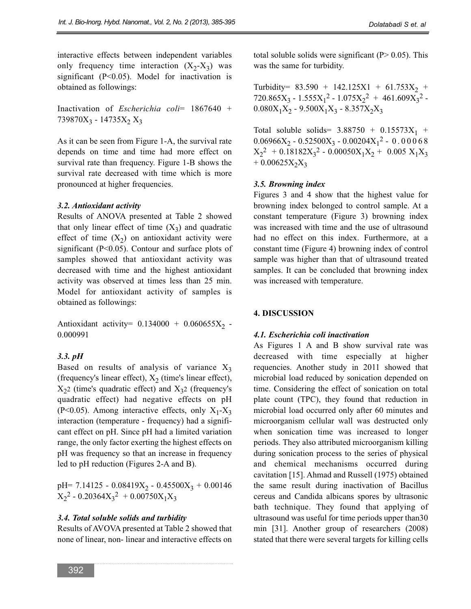interactive effects between independent variables only frequency time interaction  $(X_2-X_3)$  was significant  $(P<0.05)$ . Model for inactivation is obtained as followings:

Inactivation of *Escherichia coli*= 1867640 + 739870 $X_3$  - 14735 $X_2 X_3$ 

As it can be seen from Figure 1-A, the survival rate depends on time and time had more effect on survival rate than frequency. Figure 1-B shows the survival rate decreased with time which is more pronounced at higher frequencies.

### *3.2. Antioxidant activity*

Results of ANOVA presented at Table 2 showed that only linear effect of time  $(X_3)$  and quadratic effect of time  $(X_2)$  on antioxidant activity were significant ( $P<0.05$ ). Contour and surface plots of samples showed that antioxidant activity was decreased with time and the highest antioxidant activity was observed at times less than 25 min. Model for antioxidant activity of samples is obtained as followings:

Antioxidant activity=  $0.134000 + 0.060655X_2$  -0.000991

### *3.3. pH*

Based on results of analysis of variance  $X_3$ (frequency's linear effect),  $X_2$  (time's linear effect),  $X_2$ 2 (time's quadratic effect) and  $X_3$ 2 (frequency's quadratic effect) had negative effects on pH (P<0.05). Among interactive effects, only  $X_1 - X_3$ interaction (temperature - frequency) had a significant effect on pH. Since pH had a limited variation range, the only factor exerting the highest effects on pH was frequency so that an increase in frequency led to pH reduction (Figures 2-A and B).

pH= 7.14125 - 0.08419 $X_2$  - 0.45500 $X_3$  + 0.00146  $X_2^2$  - 0.20364 $X_3^2$  + 0.00750 $X_1X_3$ 

### *3.4. Total soluble solids and turbidity*

Results of AVOVA presented at Table 2 showed that none of linear, non- linear and interactive effects on total soluble solids were significant ( $P > 0.05$ ). This was the same for turbidity.

Turbidity=  $83.590 + 142.125X1 + 61.753X_2 +$ 720.865 $X_3$  - 1.555 $X_1^2$  - 1.075 $X_2^2$  + 461.609 $X_3^2$  - $0.080X_1X_2 - 9.500X_1X_3 - 8.357X_2X_3$ 

Total soluble solids=  $3.88750 + 0.15573X_1 +$  $0.06966X_2 - 0.52500X_3 - 0.00204X_1^2 - 0.00068$  $X_2^2$  + 0.18182 $X_3^2$  - 0.00050 $X_1X_2$  + 0.005  $X_1X_3$  $+ 0.00625X_2X_3$ 

### *3.5. Browning index*

Figures 3 and 4 show that the highest value for browning index belonged to control sample. At a constant temperature (Figure 3) browning index was increased with time and the use of ultrasound had no effect on this index. Furthermore, at a constant time (Figure 4) browning index of control sample was higher than that of ultrasound treated samples. It can be concluded that browning index was increased with temperature.

### **4. DISCUSSION**

### *4.1. Escherichia coli inactivation*

As Figures 1 A and B show survival rate was decreased with time especially at higher requencies. Another study in 2011 showed that microbial load reduced by sonication depended on time. Considering the effect of sonication on total plate count (TPC), they found that reduction in microbial load occurred only after 60 minutes and microorganism cellular wall was destructed only when sonication time was increased to longer periods. They also attributed microorganism killing during sonication process to the series of physical and chemical mechanisms occurred during cavitation [15]. Ahmad and Russell (1975) obtained the same result during inactivation of Bacillus cereus and Candida albicans spores by ultrasonic bath technique. They found that applying of ultrasound was useful for time periods upper than30 min [31]. Another group of researchers (2008) stated that there were several targets for killing cells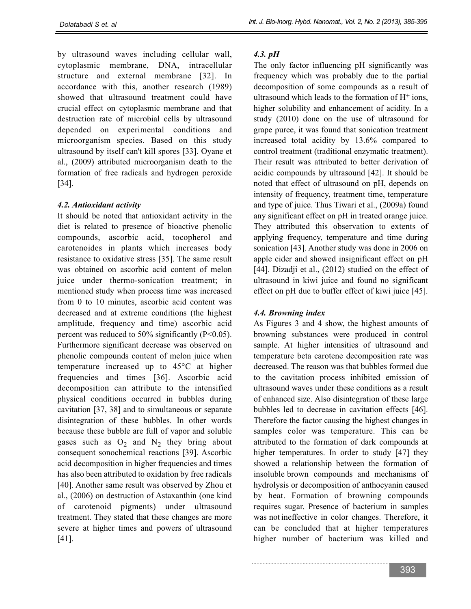by ultrasound waves including cellular wall, cytoplasmic membrane, DNA, intracellular structure and external membrane [32]. In accordance with this, another research (1989) showed that ultrasound treatment could have crucial effect on cytoplasmic membrane and that destruction rate of microbial cells by ultrasound depended on experimental conditions and microorganism species. Based on this study ultrasound by itself can't kill spores [33]. Oyane et al., (2009) attributed microorganism death to the formation of free radicals and hydrogen peroxide [34].

### *4.2. Antioxidant activity*

It should be noted that antioxidant activity in the diet is related to presence of bioactive phenolic compounds, ascorbic acid, tocopherol and carotenoides in plants which increases body resistance to oxidative stress [35]. The same result was obtained on ascorbic acid content of melon juice under thermo-sonication treatment; in mentioned study when process time was increased from 0 to 10 minutes, ascorbic acid content was decreased and at extreme conditions (the highest amplitude, frequency and time) ascorbic acid percent was reduced to 50% significantly (P<0.05). Furthermore significant decrease was observed on phenolic compounds content of melon juice when temperature increased up to 45°C at higher frequencies and times [36]. Ascorbic acid decomposition can attribute to the intensified physical conditions occurred in bubbles during cavitation [37, 38] and to simultaneous or separate disintegration of these bubbles. In other words because these bubble are full of vapor and soluble gases such as  $O_2$  and  $N_2$  they bring about consequent sonochemical reactions [39]. Ascorbic acid decomposition in higher frequencies and times has also been attributed to oxidation by free radicals [40]. Another same result was observed by Zhou et al., (2006) on destruction of Astaxanthin (one kind of carotenoid pigments) under ultrasound treatment. They stated that these changes are more severe at higher times and powers of ultrasound [41].

## *4.3. pH*

The only factor influencing pH significantly was frequency which was probably due to the partial decomposition of some compounds as a result of ultrasound which leads to the formation of  $H^+$  ions, higher solubility and enhancement of acidity. In a study (2010) done on the use of ultrasound for grape puree, it was found that sonication treatment increased total acidity by 13.6% compared to control treatment (traditional enzymatic treatment). Their result was attributed to better derivation of acidic compounds by ultrasound [42]. It should be noted that effect of ultrasound on pH, depends on intensity of frequency, treatment time, temperature and type of juice. Thus Tiwari et al., (2009a) found any significant effect on pH in treated orange juice. They attributed this observation to extents of applying frequency, temperature and time during sonication [43]. Another study was done in 2006 on apple cider and showed insignificant effect on pH [44]. Dizadji et al., (2012) studied on the effect of ultrasound in kiwi juice and found no significant effect on pH due to buffer effect of kiwi juice [45].

### *4.4. Browning index*

As Figures 3 and 4 show, the highest amounts of browning substances were produced in control sample. At higher intensities of ultrasound and temperature beta carotene decomposition rate was decreased. The reason was that bubbles formed due to the cavitation process inhibited emission of ultrasound waves under these conditions as a result of enhanced size. Also disintegration of these large bubbles led to decrease in cavitation effects [46]. Therefore the factor causing the highest changes in samples color was temperature. This can be attributed to the formation of dark compounds at higher temperatures. In order to study [47] they showed a relationship between the formation of insoluble brown compounds and mechanisms of hydrolysis or decomposition of anthocyanin caused by heat. Formation of browning compounds requires sugar. Presence of bacterium in samples was not ineffective in color changes. Therefore, it can be concluded that at higher temperatures higher number of bacterium was killed and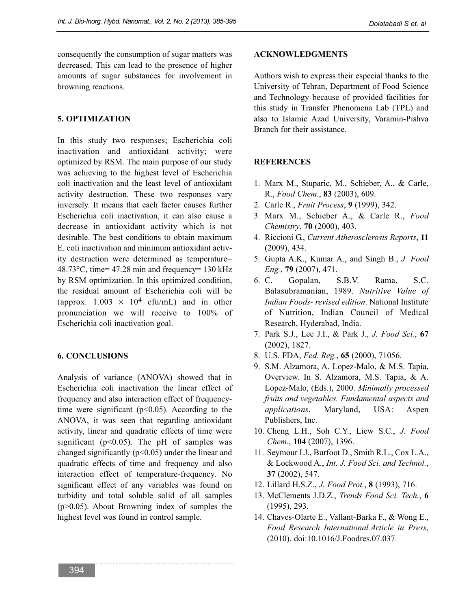consequently the consumption of sugar matters was decreased. This can lead to the presence of higher amounts of sugar substances for involvement in browning reactions.

### **5. OPTIMIZATION**

In this study two responses; Escherichia coli inactivation and antioxidant activity; were optimized by RSM. The main purpose of our study was achieving to the highest level of Escherichia coli inactivation and the least level of antioxidant activity destruction. These two responses vary inversely. It means that each factor causes further Escherichia coli inactivation, it can also cause a decrease in antioxidant activity which is not desirable. The best conditions to obtain maximum E. coli inactivation and minimum antioxidant activity destruction were determined as temperature= 48.73°C, time= 47.28 min and frequency= 130 kHz by RSM optimization. In this optimized condition, the residual amount of Escherichia coli will be (approx.  $1.003 \times 10^4$  cfu/mL) and in other pronunciation we will receive to 100% of Escherichia coli inactivation goal.

#### **6. CONCLUSIONS**

Analysis of variance (ANOVA) showed that in Escherichia coli inactivation the linear effect of frequency and also interaction effect of frequencytime were significant ( $p<0.05$ ). According to the ANOVA, it was seen that regarding antioxidant activity, linear and quadratic effects of time were significant ( $p<0.05$ ). The pH of samples was changed significantly ( $p<0.05$ ) under the linear and quadratic effects of time and frequency and also interaction effect of temperature-frequency. No significant effect of any variables was found on turbidity and total soluble solid of all samples (p>0.05). About Browning index of samples the highest level was found in control sample.

#### **ACKNOWLEDGMENTS**

Authors wish to express their especial thanks to the University of Tehran, Department of Food Science and Technology because of provided facilities for this study in Transfer Phenomena Lab (TPL) and also to Islamic Azad University, Varamin-Pishva Branch for their assistance.

#### **REFERENCES**

- 1. Marx M., Stuparic, M., Schieber, A., & Carle, R., *Food Chem.*, **83** (2003), 609.
- 2. Carle R., *Fruit Process*, **9** (1999), 342.
- 3. Marx M., Schieber A., & Carle R., *Food Chemistry*, **70** (2000), 403.
- 4. Riccioni G., *Current Atherosclerosis Reports*, **11** (2009), 434.
- 5. Gupta A.K., Kumar A., and Singh B., *J. Food Eng.*, **79** (2007), 471.
- 6. C. Gopalan, S.B.V. Rama, S.C. Balasubramanian, 1989. *Nutritive Value of Indian Foods- revised edition*. National Institute of Nutrition, Indian Council of Medical Research, Hyderabad, India.
- 7. Park S.J., Lee J.I., & Park J., *J. Food Sci.*, **67** (2002), 1827.
- 8. U.S. FDA, *Fed. Reg.*, **65** (2000), 71056.
- 9. S.M. Alzamora, A. Lopez-Malo, & M.S. Tapia, Overview. In S. Alzamora, M.S. Tapia, & A. Lopez-Malo, (Eds.), 2000. *Minimally processed fruits and vegetables. Fundamental aspects and applications*, Maryland, USA: Aspen Publishers, Inc.
- 10. Cheng L.H., Soh C.Y., Liew S.C., *J. Food Chem.*, **104** (2007), 1396.
- 11. Seymour I.J., Burfoot D., Smith R.L., Cox L.A., & Lockwood A., *Int. J. Food Sci. and Technol.*, **37** (2002), 547.
- 12. Lillard H.S.Z., *J. Food Prot.*, **8** (1993), 716.
- 13. McClements J.D.Z., *Trends Food Sci. Tech.*, **6** (1995), 293.
- 14. Chaves-Olarte E., Vallant-Barka F., & Wong E., *Food Research International.Article in Press*, (2010). doi:10.1016/J.Foodres.07.037.